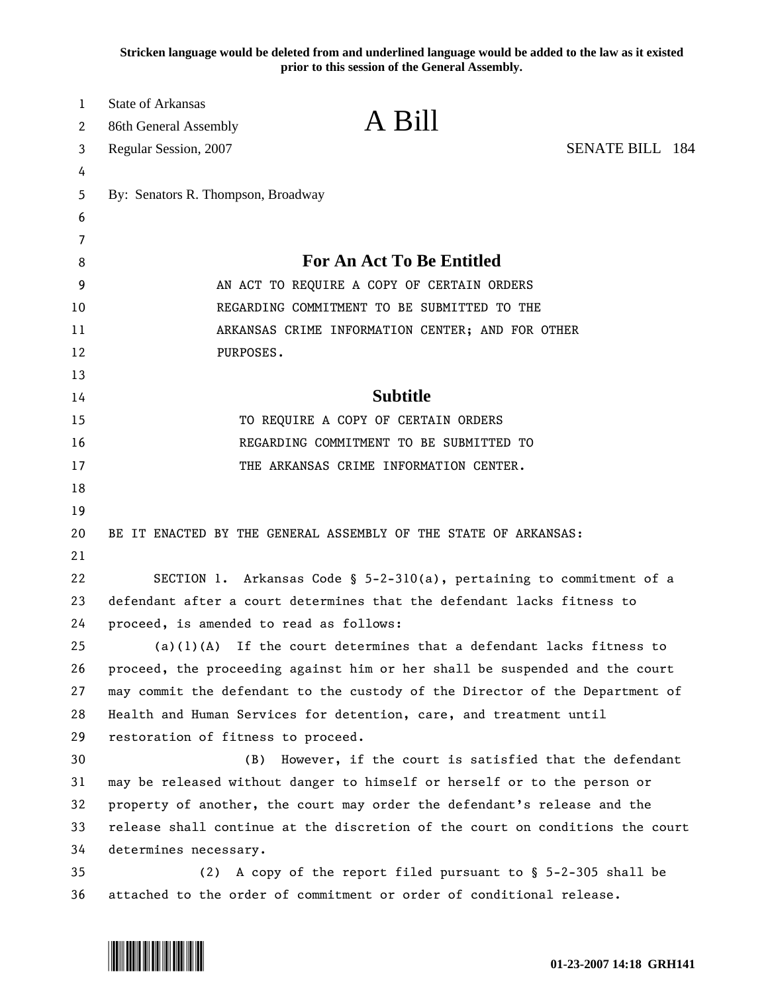**Stricken language would be deleted from and underlined language would be added to the law as it existed prior to this session of the General Assembly.**

| 1<br>2 | <b>State of Arkansas</b><br>86th General Assembly                             | A Bill                                                                  |                        |
|--------|-------------------------------------------------------------------------------|-------------------------------------------------------------------------|------------------------|
| 3      | Regular Session, 2007                                                         |                                                                         | <b>SENATE BILL 184</b> |
| 4      |                                                                               |                                                                         |                        |
| 5      | By: Senators R. Thompson, Broadway                                            |                                                                         |                        |
| 6      |                                                                               |                                                                         |                        |
| 7      |                                                                               |                                                                         |                        |
| 8      | <b>For An Act To Be Entitled</b>                                              |                                                                         |                        |
| 9      | AN ACT TO REQUIRE A COPY OF CERTAIN ORDERS                                    |                                                                         |                        |
| 10     | REGARDING COMMITMENT TO BE SUBMITTED TO THE                                   |                                                                         |                        |
| 11     | ARKANSAS CRIME INFORMATION CENTER; AND FOR OTHER                              |                                                                         |                        |
| 12     | PURPOSES.                                                                     |                                                                         |                        |
| 13     |                                                                               |                                                                         |                        |
| 14     | <b>Subtitle</b>                                                               |                                                                         |                        |
| 15     | TO REQUIRE A COPY OF CERTAIN ORDERS                                           |                                                                         |                        |
| 16     | REGARDING COMMITMENT TO BE SUBMITTED TO                                       |                                                                         |                        |
| 17     |                                                                               | THE ARKANSAS CRIME INFORMATION CENTER.                                  |                        |
| 18     |                                                                               |                                                                         |                        |
| 19     |                                                                               |                                                                         |                        |
| 20     | BE IT ENACTED BY THE GENERAL ASSEMBLY OF THE STATE OF ARKANSAS:               |                                                                         |                        |
| 21     |                                                                               |                                                                         |                        |
| 22     |                                                                               | SECTION 1. Arkansas Code § $5-2-310(a)$ , pertaining to commitment of a |                        |
| 23     | defendant after a court determines that the defendant lacks fitness to        |                                                                         |                        |
| 24     | proceed, is amended to read as follows:                                       |                                                                         |                        |
| 25     |                                                                               | $(a)(1)(A)$ If the court determines that a defendant lacks fitness to   |                        |
| 26     | proceed, the proceeding against him or her shall be suspended and the court   |                                                                         |                        |
| 27     | may commit the defendant to the custody of the Director of the Department of  |                                                                         |                        |
| 28     |                                                                               | Health and Human Services for detention, care, and treatment until      |                        |
| 29     | restoration of fitness to proceed.                                            |                                                                         |                        |
| 30     | (B)                                                                           | However, if the court is satisfied that the defendant                   |                        |
| 31     | may be released without danger to himself or herself or to the person or      |                                                                         |                        |
| 32     | property of another, the court may order the defendant's release and the      |                                                                         |                        |
| 33     | release shall continue at the discretion of the court on conditions the court |                                                                         |                        |
| 34     | determines necessary.                                                         |                                                                         |                        |
| 35     | (2)                                                                           | A copy of the report filed pursuant to § 5-2-305 shall be               |                        |
| 36     |                                                                               | attached to the order of commitment or order of conditional release.    |                        |

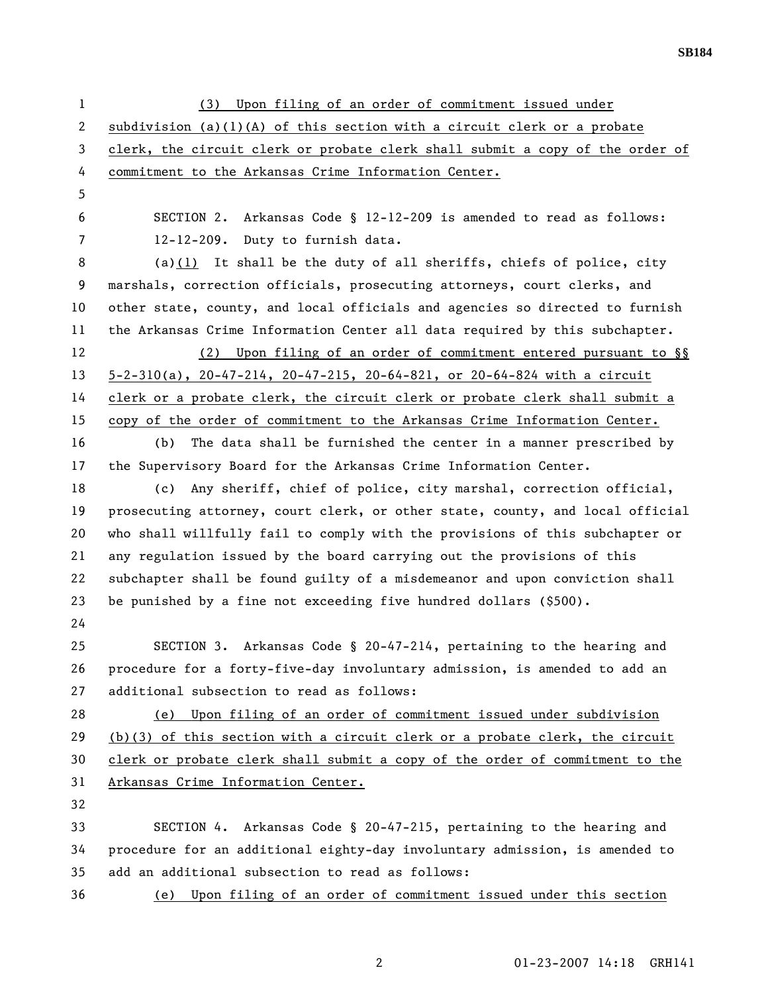1 (3) Upon filing of an order of commitment issued under 2 subdivision (a)(1)(A) of this section with a circuit clerk or a probate 3 clerk, the circuit clerk or probate clerk shall submit a copy of the order of 4 commitment to the Arkansas Crime Information Center. 5 6 SECTION 2. Arkansas Code § 12-12-209 is amended to read as follows: 7 12-12-209. Duty to furnish data. 8 (a)(1) It shall be the duty of all sheriffs, chiefs of police, city 9 marshals, correction officials, prosecuting attorneys, court clerks, and 10 other state, county, and local officials and agencies so directed to furnish 11 the Arkansas Crime Information Center all data required by this subchapter. 12 (2) Upon filing of an order of commitment entered pursuant to §§ 13 5-2-310(a), 20-47-214, 20-47-215, 20-64-821, or 20-64-824 with a circuit 14 clerk or a probate clerk, the circuit clerk or probate clerk shall submit a 15 copy of the order of commitment to the Arkansas Crime Information Center. 16 (b) The data shall be furnished the center in a manner prescribed by 17 the Supervisory Board for the Arkansas Crime Information Center. 18 (c) Any sheriff, chief of police, city marshal, correction official, 19 prosecuting attorney, court clerk, or other state, county, and local official 20 who shall willfully fail to comply with the provisions of this subchapter or 21 any regulation issued by the board carrying out the provisions of this 22 subchapter shall be found guilty of a misdemeanor and upon conviction shall 23 be punished by a fine not exceeding five hundred dollars (\$500). 24 25 SECTION 3. Arkansas Code § 20-47-214, pertaining to the hearing and 26 procedure for a forty-five-day involuntary admission, is amended to add an 27 additional subsection to read as follows: 28 (e) Upon filing of an order of commitment issued under subdivision 29 (b)(3) of this section with a circuit clerk or a probate clerk, the circuit 30 clerk or probate clerk shall submit a copy of the order of commitment to the 31 Arkansas Crime Information Center. 32 33 SECTION 4. Arkansas Code § 20-47-215, pertaining to the hearing and 34 procedure for an additional eighty-day involuntary admission, is amended to 35 add an additional subsection to read as follows: 36 (e) Upon filing of an order of commitment issued under this section

2 01-23-2007 14:18 GRH141